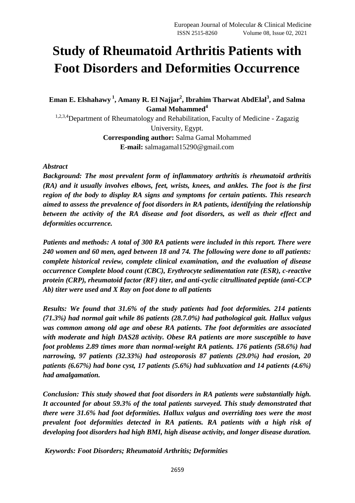# **Study of Rheumatoid Arthritis Patients with Foot Disorders and Deformities Occurrence**

**Eman E. Elshahawy <sup>1</sup> , Amany R. El Najjar<sup>2</sup> , Ibrahim Tharwat AbdElal<sup>3</sup> , and Salma Gamal Mohammed<sup>4</sup>**

1,2,3,4Department of Rheumatology and Rehabilitation, Faculty of Medicine - Zagazig University, Egypt. **Corresponding author:** Salma Gamal Mohammed **E-mail:** salmagamal15290@gmail.com

## *Abstract*

*Background: The most prevalent form of inflammatory arthritis is rheumatoid arthritis (RA) and it usually involves elbows, feet, wrists, knees, and ankles. The foot is the first region of the body to display RA signs and symptoms for certain patients. This research aimed to assess the prevalence of foot disorders in RA patients, identifying the relationship between the activity of the RA disease and foot disorders, as well as their effect and deformities occurrence.*

*Patients and methods: A total of 300 RA patients were included in this report. There were 240 women and 60 men, aged between 18 and 74. The following were done to all patients: complete historical review, complete clinical examination, and the evaluation of disease occurrence Complete blood count (CBC), Erythrocyte sedimentation rate (ESR), c-reactive protein (CRP), rheumatoid factor (RF) titer, and anti-cyclic citrullinated peptide (anti-CCP Ab) titer were used and X Ray on foot done to all patients*

*Results: We found that 31.6% of the study patients had foot deformities. 214 patients (71.3%) had normal gait while 86 patients (28.7.0%) had pathological gait. Hallux valgus was common among old age and obese RA patients. The foot deformities are associated with moderate and high DAS28 activity. Obese RA patients are more susceptible to have foot problems 2.89 times more than normal-weight RA patients. 176 patients (58.6%) had narrowing, 97 patients (32.33%) had osteoporosis 87 patients (29.0%) had erosion, 20 patients (6.67%) had bone cyst, 17 patients (5.6%) had subluxation and 14 patients (4.6%) had amalgamation.*

*Conclusion: This study showed that foot disorders in RA patients were substantially high. It accounted for about 59.3% of the total patients surveyed. This study demonstrated that there were 31.6% had foot deformities. Hallux valgus and overriding toes were the most prevalent foot deformities detected in RA patients. RA patients with a high risk of developing foot disorders had high BMI, high disease activity, and longer disease duration.*

*Keywords: Foot Disorders; Rheumatoid Arthritis; Deformities*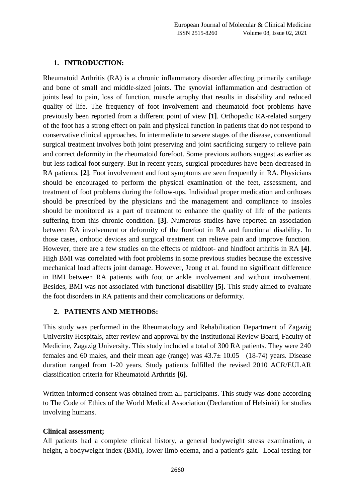## **1. INTRODUCTION:**

Rheumatoid Arthritis (RA) is a chronic inflammatory disorder affecting primarily cartilage and bone of small and middle-sized joints. The synovial inflammation and destruction of joints lead to pain, loss of function, muscle atrophy that results in disability and reduced quality of life. The frequency of foot involvement and rheumatoid foot problems have previously been reported from a different point of view **[1]**. Orthopedic RA-related surgery of the foot has a strong effect on pain and physical function in patients that do not respond to conservative clinical approaches. In intermediate to severe stages of the disease, conventional surgical treatment involves both joint preserving and joint sacrificing surgery to relieve pain and correct deformity in the rheumatoid forefoot. Some previous authors suggest as earlier as but less radical foot surgery. But in recent years, surgical procedures have been decreased in RA patients. **[2]**. Foot involvement and foot symptoms are seen frequently in RA. Physicians should be encouraged to perform the physical examination of the feet, assessment, and treatment of foot problems during the follow-ups. Individual proper medication and orthoses should be prescribed by the physicians and the management and compliance to insoles should be monitored as a part of treatment to enhance the quality of life of the patients suffering from this chronic condition. **[3]**. Numerous studies have reported an association between RA involvement or deformity of the forefoot in RA and functional disability. In those cases, orthotic devices and surgical treatment can relieve pain and improve function. However, there are a few studies on the effects of midfoot- and hindfoot arthritis in RA **[4]**. High BMI was correlated with foot problems in some previous studies because the excessive mechanical load affects joint damage. However, Jeong et al. found no significant difference in BMI between RA patients with foot or ankle involvement and without involvement. Besides, BMI was not associated with functional disability **[5].** This study aimed to evaluate the foot disorders in RA patients and their complications or deformity.

#### **2. PATIENTS AND METHODS:**

This study was performed in the Rheumatology and Rehabilitation Department of Zagazig University Hospitals, after review and approval by the Institutional Review Board, Faculty of Medicine, Zagazig University. This study included a total of 300 RA patients. They were 240 females and 60 males, and their mean age (range) was  $43.7\pm 10.05$  (18-74) years. Disease duration ranged from 1-20 years. Study patients fulfilled the revised 2010 ACR/EULAR classification criteria for Rheumatoid Arthritis **[6]**.

Written informed consent was obtained from all participants. This study was done according to The Code of Ethics of the World Medical Association (Declaration of Helsinki) for studies involving humans.

#### **Clinical assessment;**

All patients had a complete clinical history, a general bodyweight stress examination, a height, a bodyweight index (BMI), lower limb edema, and a patient's gait. Local testing for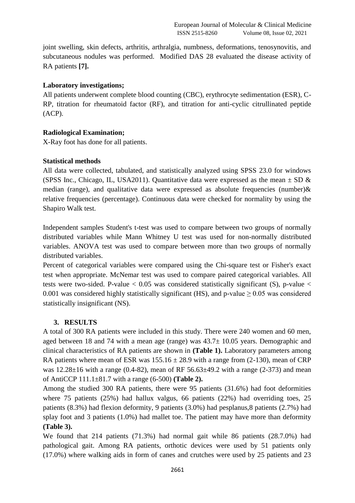joint swelling, skin defects, arthritis, arthralgia, numbness, deformations, tenosynovitis, and subcutaneous nodules was performed. Modified DAS 28 evaluated the disease activity of RA patients **[7].**

#### **Laboratory investigations;**

All patients underwent complete blood counting (CBC), erythrocyte sedimentation (ESR), C-RP, titration for rheumatoid factor (RF), and titration for anti-cyclic citrullinated peptide (ACP).

## **Radiological Examination;**

X-Ray foot has done for all patients.

## **Statistical methods**

All data were collected, tabulated, and statistically analyzed using SPSS 23.0 for windows (SPSS Inc., Chicago, IL, USA2011). Quantitative data were expressed as the mean  $\pm$  SD  $\&$ median (range), and qualitative data were expressed as absolute frequencies (number)  $\&$ relative frequencies (percentage). Continuous data were checked for normality by using the Shapiro Walk test.

Independent samples Student's t-test was used to compare between two groups of normally distributed variables while Mann Whitney U test was used for non-normally distributed variables. ANOVA test was used to compare between more than two groups of normally distributed variables.

Percent of categorical variables were compared using the Chi-square test or Fisher's exact test when appropriate. McNemar test was used to compare paired categorical variables. All tests were two-sided. P-value  $< 0.05$  was considered statistically significant (S), p-value  $<$ 0.001 was considered highly statistically significant (HS), and p-value  $\geq$  0.05 was considered statistically insignificant (NS).

# **3. RESULTS**

A total of 300 RA patients were included in this study. There were 240 women and 60 men, aged between 18 and 74 with a mean age (range) was 43.7± 10.05 years. Demographic and clinical characteristics of RA patients are shown in **(Table 1).** Laboratory parameters among RA patients where mean of ESR was  $155.16 \pm 28.9$  with a range from (2-130), mean of CRP was  $12.28\pm16$  with a range (0.4-82), mean of RF 56.63 $\pm$ 49.2 with a range (2-373) and mean of AntiCCP 111.1±81.7 with a range (6-500) **(Table 2).**

Among the studied 300 RA patients, there were 95 patients (31.6%) had foot deformities where 75 patients (25%) had hallux valgus, 66 patients (22%) had overriding toes, 25 patients (8.3%) had flexion deformity, 9 patients (3.0%) had pesplanus,8 patients (2.7%) had splay foot and 3 patients (1.0%) had mallet toe. The patient may have more than deformity **(Table 3).**

We found that 214 patients (71.3%) had normal gait while 86 patients (28.7.0%) had pathological gait. Among RA patients, orthotic devices were used by 51 patients only (17.0%) where walking aids in form of canes and crutches were used by 25 patients and 23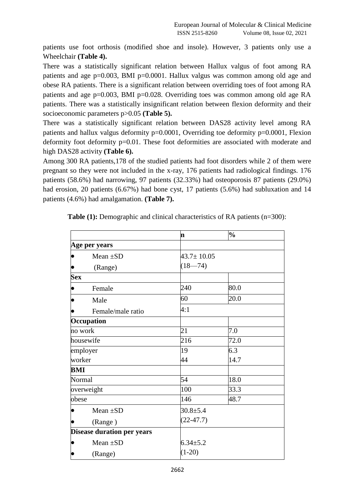patients use foot orthosis (modified shoe and insole). However, 3 patients only use a Wheelchair **(Table 4).**

There was a statistically significant relation between Hallux valgus of foot among RA patients and age  $p=0.003$ , BMI  $p=0.0001$ . Hallux valgus was common among old age and obese RA patients. There is a significant relation between overriding toes of foot among RA patients and age p=0.003, BMI p=0.028. Overriding toes was common among old age RA patients. There was a statistically insignificant relation between flexion deformity and their socioeconomic parameters p>0.05 **(Table 5).**

There was a statistically significant relation between DAS28 activity level among RA patients and hallux valgus deformity p=0.0001, Overriding toe deformity p=0.0001, Flexion deformity foot deformity p=0.01. These foot deformities are associated with moderate and high DAS28 activity **(Table 6).**

Among 300 RA patients,178 of the studied patients had foot disorders while 2 of them were pregnant so they were not included in the x-ray, 176 patients had radiological findings. 176 patients (58.6%) had narrowing, 97 patients (32.33%) had osteoporosis 87 patients (29.0%) had erosion, 20 patients (6.67%) had bone cyst, 17 patients (5.6%) had subluxation and 14 patients (4.6%) had amalgamation. **(Table 7).**

|            |                                   | 'n               | $\frac{1}{2}$ |  |  |  |
|------------|-----------------------------------|------------------|---------------|--|--|--|
|            | Age per years                     |                  |               |  |  |  |
| $\bullet$  | Mean $\pm SD$                     | $43.7 \pm 10.05$ |               |  |  |  |
|            | (Range)                           | $(18 - 74)$      |               |  |  |  |
| <b>Sex</b> |                                   |                  |               |  |  |  |
|            | Female                            | 240              | 80.0          |  |  |  |
|            | Male                              | 60               | 20.0          |  |  |  |
|            | Female/male ratio                 | 4:1              |               |  |  |  |
|            | Occupation                        |                  |               |  |  |  |
| no work    |                                   | 21               | 7.0           |  |  |  |
|            | housewife                         | 216              | 72.0          |  |  |  |
|            | employer                          | 19               | 6.3           |  |  |  |
| worker     |                                   | 44               | 14.7          |  |  |  |
| BMI        |                                   |                  |               |  |  |  |
| Normal     |                                   | 54               | 18.0          |  |  |  |
|            | overweight                        | 100              | 33.3          |  |  |  |
| obese      |                                   | 146              | 48.7          |  |  |  |
|            | Mean $\pm SD$                     | $30.8 + 5.4$     |               |  |  |  |
| (Range)    |                                   | $(22-47.7)$      |               |  |  |  |
|            | <b>Disease duration per years</b> |                  |               |  |  |  |
|            | Mean $\pm SD$                     | $6.34 \pm 5.2$   |               |  |  |  |
| (Range)    |                                   | $(1-20)$         |               |  |  |  |

**Table (1):** Demographic and clinical characteristics of RA patients (n=300):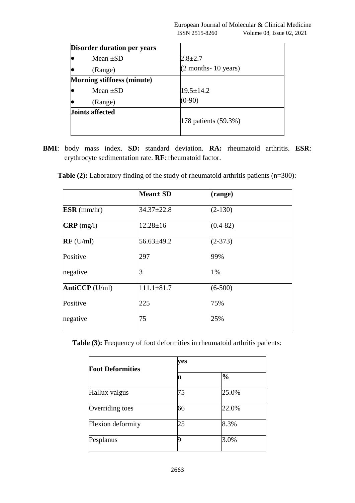| <b>Disorder duration per years</b> |                        |
|------------------------------------|------------------------|
| Mean $\pm SD$                      | $2.8 \pm 2.7$          |
| (Range)                            | $(2$ months- 10 years) |
| <b>Morning stiffness (minute)</b>  |                        |
| Mean $\pm SD$                      | $19.5 \pm 14.2$        |
| (Range)                            | $(0-90)$               |
| <b>Joints affected</b>             |                        |
|                                    | 178 patients (59.3%)   |
|                                    |                        |

**BMI**: body mass index. **SD:** standard deviation. **RA:** rheumatoid arthritis. **ESR**: erythrocyte sedimentation rate. **RF**: rheumatoid factor.

|                   | <b>Mean</b> ± SD | (range)      |
|-------------------|------------------|--------------|
| $ESR$ (mm/hr)     | $34.37 \pm 22.8$ | $(2-130)$    |
| $CRP$ (mg/l)      | $12.28 \pm 16$   | $(0.4 - 82)$ |
| $RF$ (U/ml)       | $56.63 \pm 49.2$ | $(2-373)$    |
| Positive          | 297              | 99%          |
| negative          |                  | 1%           |
| Anti $CCP$ (U/ml) | $111.1 \pm 81.7$ | $(6-500)$    |
| Positive          | 225              | 75%          |
| negative          | 75               | 25%          |

| <b>Table (2):</b> Laboratory finding of the study of rheumatoid arthritis patients $(n=300)$ : |  |
|------------------------------------------------------------------------------------------------|--|
|------------------------------------------------------------------------------------------------|--|

**Table (3):** Frequency of foot deformities in rheumatoid arthritis patients:

| <b>Foot Deformities</b> | ves |               |  |  |  |  |
|-------------------------|-----|---------------|--|--|--|--|
|                         | n   | $\frac{0}{0}$ |  |  |  |  |
| Hallux valgus           | 75  | 25.0%         |  |  |  |  |
| Overriding toes         | 66  | 22.0%         |  |  |  |  |
| Flexion deformity       | 25  | 8.3%          |  |  |  |  |
| Pesplanus               |     | 3.0%          |  |  |  |  |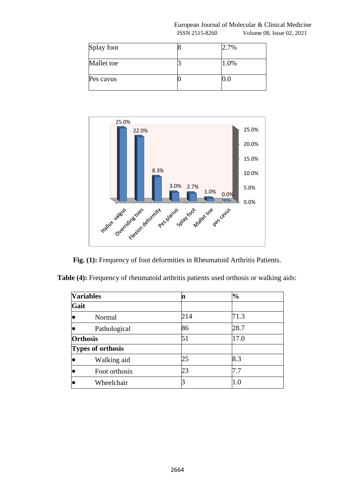#### European Journal of Molecular & Clinical Medicine ISSN 2515-8260 Volume 08, Issue 02, 2021

| Splay foot | 2.7% |
|------------|------|
| Mallet toe | 1.0% |
| Pes cavus  |      |



**Fig. (1):** Frequency of foot deformities in Rheumatoid Arthritis Patients.

**Table (4):** Frequency of rheumatoid arthritis patients used orthosis or walking aids:

|      | <b>Variables</b>         | n   | $\frac{0}{0}$ |
|------|--------------------------|-----|---------------|
| Gait |                          |     |               |
| lC   | Normal                   | 214 | 71.3          |
| le   | Pathological             | 86  | 28.7          |
|      | <b>Orthosis</b>          | 51  | 17.0          |
|      | <b>Types of orthosis</b> |     |               |
| le   | Walking aid              | 25  | 8.3           |
| le   | Foot orthosis            | 23  | 7.7           |
| С    | Wheelchair               |     | $1.0\,$       |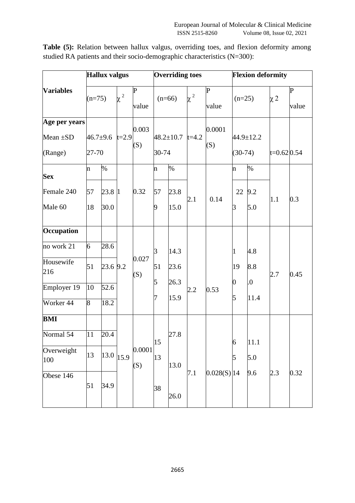|                   | <b>Hallux valgus</b>  |          |            |               | <b>Overriding toes</b> |                       |                                  | <b>Flexion deformity</b> |           |           |              |             |
|-------------------|-----------------------|----------|------------|---------------|------------------------|-----------------------|----------------------------------|--------------------------|-----------|-----------|--------------|-------------|
| <b>Variables</b>  | $(n=75)$              |          | $\alpha^2$ | P             | $(n=66)$               |                       | $\mathbf P$<br>$\chi^2$<br>value |                          | $(n=25)$  |           | $\chi$ 2     | $\mathbf P$ |
|                   |                       |          |            | value         |                        |                       |                                  |                          |           |           |              | value       |
| Age per years     |                       |          |            | 0.003         |                        |                       |                                  | 0.0001                   |           |           |              |             |
| Mean $\pm SD$     | $46.7 + 9.6$<br>27-70 |          | $t=2.9$    | (S)           |                        | $48.2 \pm 10.7$ t=4.2 |                                  |                          |           | 44.9±12.2 |              |             |
| (Range)           |                       |          |            |               | 30-74                  |                       | (S)                              |                          | $(30-74)$ |           | $t=0.620.54$ |             |
| <b>Sex</b>        | $\mathbf n$           | %        |            |               | n                      | $\%$                  |                                  |                          | n         | $\%$      |              |             |
| Female 240        | 57                    | 23.8 1   |            | 0.32          | 57                     | 23.8                  |                                  |                          | 22        | 9.2       |              |             |
| Male 60           | 18                    | 30.0     |            |               | 9                      | 15.0                  | 2.1                              | 0.14<br>3                |           | 5.0       | 1.1          | 0.3         |
| Occupation        |                       |          |            |               |                        |                       |                                  |                          |           |           |              |             |
| no work 21        | 6                     | 28.6     |            |               | $\beta$                | 14.3                  |                                  |                          | 1         | 4.8       |              |             |
| Housewife<br>216  | 51                    | 23.6 9.2 |            | 0.027         | 51                     | 23.6                  |                                  |                          | 19        | 8.8       |              |             |
|                   |                       |          |            | (S)           | 5                      | 26.3                  |                                  |                          | 0         | 0.        | 2.7          | 0.45        |
| Employer 19       | 10                    | 52.6     |            |               | 7                      | 15.9                  | 2.2                              | 0.53                     | 5         | 11.4      |              |             |
| Worker 44         | 8                     | 18.2     |            |               |                        |                       |                                  |                          |           |           |              |             |
| <b>BMI</b>        |                       |          |            |               |                        |                       |                                  |                          |           |           |              |             |
| Normal 54         | 11                    | 20.4     |            |               | 15                     | 27.8                  |                                  |                          | 6         | 11.1      |              |             |
| Overweight<br>100 | 13                    | 13.0     | 15.9       | 0.0001<br>(S) | 13                     | 13.0                  |                                  |                          | 5         | 5.0       |              |             |
| Obese 146         |                       |          |            |               |                        |                       | 7.1                              | $0.028(S)$  14           |           | 9.6       | 2.3          | 0.32        |
|                   | 51                    | 34.9     |            |               | 38                     | 26.0                  |                                  |                          |           |           |              |             |

**Table (5):** Relation between hallux valgus, overriding toes, and flexion deformity among studied RA patients and their socio-demographic characteristics (N=300):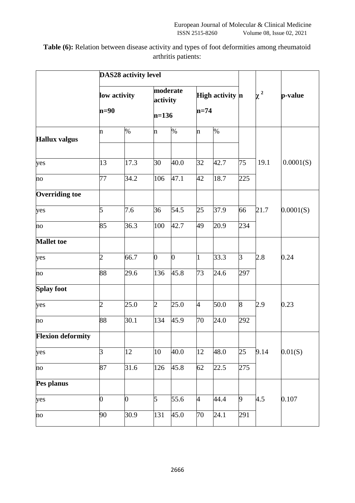**Table (6):** Relation between disease activity and types of foot deformities among rheumatoid arthritis patients:

|                          |                        | <b>DAS28 activity level</b> |                                 |                |                           |      |                |          |           |  |
|--------------------------|------------------------|-----------------------------|---------------------------------|----------------|---------------------------|------|----------------|----------|-----------|--|
|                          | low activity<br>$n=90$ |                             | moderate<br>activity<br>$n=136$ |                | High activity n<br>$n=74$ |      |                | $\chi^2$ | p-value   |  |
| <b>Hallux valgus</b>     | $\mathbf n$            | $\%$                        | n                               | %              | n                         | $\%$ |                |          |           |  |
| yes                      | 13                     | 17.3                        | 30                              | 40.0           | 32                        | 42.7 | 75             | 19.1     | 0.0001(S) |  |
| no                       | 77                     | 34.2                        | 106                             | 47.1           | 42                        | 18.7 | 225            |          |           |  |
| <b>Overriding toe</b>    |                        |                             |                                 |                |                           |      |                |          |           |  |
| yes                      | 5                      | 7.6                         | 36                              | 54.5           | 25                        | 37.9 | 66             | 21.7     | 0.0001(S) |  |
| no                       | 85                     | 36.3                        | 100                             | 42.7           | 49                        | 20.9 | 234            |          |           |  |
| <b>Mallet</b> toe        |                        |                             |                                 |                |                           |      |                |          |           |  |
| yes                      | $\overline{2}$         | 66.7                        | $\overline{0}$                  | $\overline{0}$ | $\mathbf{1}$              | 33.3 | $\overline{3}$ | 2.8      | 0.24      |  |
| no                       | 88                     | 29.6                        | 136                             | 45.8           | 73                        | 24.6 | 297            |          |           |  |
| <b>Splay foot</b>        |                        |                             |                                 |                |                           |      |                |          |           |  |
| yes                      | $\overline{c}$         | 25.0                        | $\overline{2}$                  | 25.0           | $\overline{A}$            | 50.0 | 8              | 2.9      | 0.23      |  |
| no                       | 88                     | 30.1                        | 134                             | 45.9           | 70                        | 24.0 | 292            |          |           |  |
| <b>Flexion deformity</b> |                        |                             |                                 |                |                           |      |                |          |           |  |
| yes                      | 3                      | 12                          | 10                              | 40.0           | 12                        | 48.0 | 25             | 9.14     | 0.01(S)   |  |
| no                       | 87                     | 31.6                        | 126                             | $\bar{4}5.8$   | 62                        | 22.5 | 275            |          |           |  |
| Pes planus               |                        |                             |                                 |                |                           |      |                |          |           |  |
| yes                      | $\mathbf{0}$           | $\overline{0}$              | 5                               | 55.6           | $\overline{4}$            | 44.4 | 9              | 4.5      | 0.107     |  |
| no                       | 90                     | 30.9                        | 131                             | 45.0           | 70                        | 24.1 | 291            |          |           |  |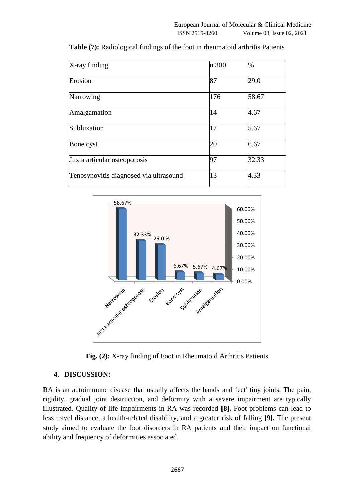| X-ray finding                          | n 300 | $\%$  |
|----------------------------------------|-------|-------|
| Erosion                                | 87    | 29.0  |
| Narrowing                              | 176   | 58.67 |
| Amalgamation                           | 14    | 4.67  |
| Subluxation                            | 17    | 5.67  |
| Bone cyst                              | 20    | 6.67  |
| Juxta articular osteoporosis           | 97    | 32.33 |
| Tenosynovitis diagnosed via ultrasound | 13    | 4.33  |

**Table (7):** Radiological findings of the foot in rheumatoid arthritis Patients





#### **4. DISCUSSION:**

RA is an autoimmune disease that usually affects the hands and feet' tiny joints. The pain, rigidity, gradual joint destruction, and deformity with a severe impairment are typically illustrated. Quality of life impairments in RA was recorded **[8].** Foot problems can lead to less travel distance, a health-related disability, and a greater risk of falling **[9].** The present study aimed to evaluate the foot disorders in RA patients and their impact on functional ability and frequency of deformities associated.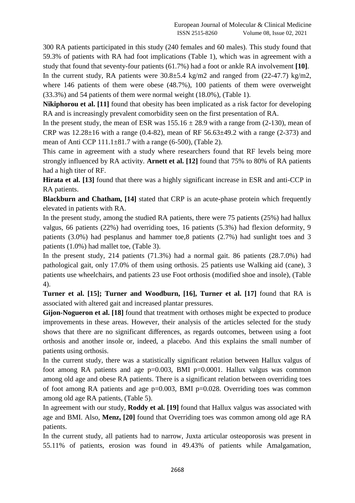300 RA patients participated in this study (240 females and 60 males). This study found that 59.3% of patients with RA had foot implications (Table 1), which was in agreement with a study that found that seventy-four patients (61.7%) had a foot or ankle RA involvement **[10]**.

In the current study, RA patients were 30.8±5.4 kg/m2 and ranged from (22-47.7) kg/m2, where 146 patients of them were obese (48.7%), 100 patients of them were overweight (33.3%) and 54 patients of them were normal weight (18.0%), (Table 1).

**Nikiphorou et al.** [11] found that obesity has been implicated as a risk factor for developing RA and is increasingly prevalent comorbidity seen on the first presentation of RA.

In the present study, the mean of ESR was  $155.16 \pm 28.9$  with a range from (2-130), mean of CRP was  $12.28 \pm 16$  with a range (0.4-82), mean of RF 56.63 $\pm$ 49.2 with a range (2-373) and mean of Anti CCP 111.1±81.7 with a range (6-500), (Table 2).

This came in agreement with a study where researchers found that RF levels being more strongly influenced by RA activity. **Arnett et al. [12]** found that 75% to 80% of RA patients had a high titer of RF.

**Hirata et al. [13]** found that there was a highly significant increase in ESR and anti-CCP in RA patients.

**Blackburn and Chatham, [14]** stated that CRP is an acute-phase protein which frequently elevated in patients with RA.

In the present study, among the studied RA patients, there were 75 patients (25%) had hallux valgus, 66 patients (22%) had overriding toes, 16 patients (5.3%) had flexion deformity, 9 patients (3.0%) had pesplanus and hammer toe,8 patients (2.7%) had sunlight toes and 3 patients (1.0%) had mallet toe, (Table 3).

In the present study, 214 patients (71.3%) had a normal gait. 86 patients (28.7.0%) had pathological gait, only 17.0% of them using orthosis. 25 patients use Walking aid (cane), 3 patients use wheelchairs, and patients 23 use Foot orthosis (modified shoe and insole), (Table 4).

**Turner et al. [15]; Turner and Woodburn, [16], Turner et al. [17]** found that RA is associated with altered gait and increased plantar pressures.

**Gijon-Nogueron et al. [18]** found that treatment with orthoses might be expected to produce improvements in these areas. However, their analysis of the articles selected for the study shows that there are no significant differences, as regards outcomes, between using a foot orthosis and another insole or, indeed, a placebo. And this explains the small number of patients using orthosis.

In the current study, there was a statistically significant relation between Hallux valgus of foot among RA patients and age  $p=0.003$ , BMI  $p=0.0001$ . Hallux valgus was common among old age and obese RA patients. There is a significant relation between overriding toes of foot among RA patients and age p=0.003, BMI p=0.028. Overriding toes was common among old age RA patients, (Table 5).

In agreement with our study, **Roddy et al. [19]** found that Hallux valgus was associated with age and BMI. Also, **Menz, [20]** found that Overriding toes was common among old age RA patients.

In the current study, all patients had to narrow, Juxta articular osteoporosis was present in 55.11% of patients, erosion was found in 49.43% of patients while Amalgamation,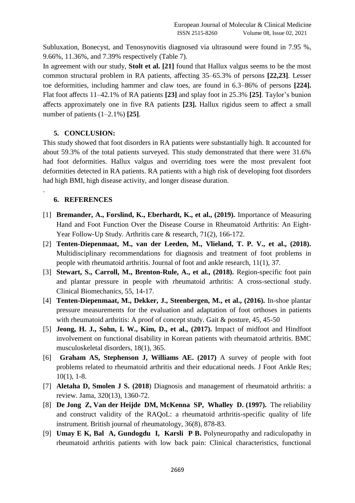Subluxation, Bonecyst, and Tenosynovitis diagnosed via ultrasound were found in 7.95 %, 9.66%, 11.36%, and 7.39% respectively (Table 7).

In agreement with our study, **Stolt et al. [21]** found that Hallux valgus seems to be the most common structural problem in RA patients, affecting 35–65.3% of persons **[22,23]**. Lesser toe deformities, including hammer and claw toes, are found in 6.3–86% of persons **[224].**  Flat foot affects 11–42.1% of RA patients **[23]** and splay foot in 25.3% **[25]**. Taylor's bunion affects approximately one in five RA patients **[23].** Hallux rigidus seem to affect a small number of patients (1–2.1%) **[25]**.

## **5. CONCLUSION:**

This study showed that foot disorders in RA patients were substantially high. It accounted for about 59.3% of the total patients surveyed. This study demonstrated that there were 31.6% had foot deformities. Hallux valgus and overriding toes were the most prevalent foot deformities detected in RA patients. RA patients with a high risk of developing foot disorders had high BMI, high disease activity, and longer disease duration.

# **6. REFERENCES**

.

- [1] **Bremander, A., Forslind, K., Eberhardt, K., et al., (2019).** Importance of Measuring Hand and Foot Function Over the Disease Course in Rheumatoid Arthritis: An Eight‐ Year Follow‐Up Study. Arthritis care & research, 71(2), 166-172.
- [2] **Tenten-Diepenmaat, M., van der Leeden, M., Vlieland, T. P. V., et al., (2018).**  Multidisciplinary recommendations for diagnosis and treatment of foot problems in people with rheumatoid arthritis. Journal of foot and ankle research, 11(1), 37.
- [3] **Stewart, S., Carroll, M., Brenton-Rule, A., et al., (2018).** Region-specific foot pain and plantar pressure in people with rheumatoid arthritis: A cross-sectional study. Clinical Biomechanics, 55, 14-17.
- [4] **Tenten-Diepenmaat, M., Dekker, J., Steenbergen, M., et al., (2016).** In-shoe plantar pressure measurements for the evaluation and adaptation of foot orthoses in patients with rheumatoid arthritis: A proof of concept study. Gait & posture, 45, 45-50
- [5] **Jeong, H. J., Sohn, I. W., Kim, D., et al., (2017).** Impact of midfoot and Hindfoot involvement on functional disability in Korean patients with rheumatoid arthritis. BMC musculoskeletal disorders, 18(1), 365.
- [6] **Graham AS, Stephenson J, Williams AE. (2017)** A survey of people with foot problems related to rheumatoid arthritis and their educational needs. J Foot Ankle Res; 10(1), 1-8.
- [7] **Aletaha D, Smolen J S. (2018**) Diagnosis and management of rheumatoid arthritis: a review. Jama, 320(13), 1360-72.
- [8] **De Jong Z, Van der Heijde DM, McKenna SP, Whalley D. (1997).** The reliability and construct validity of the RAQoL: a rheumatoid arthritis-specific quality of life instrument. British journal of rheumatology, 36(8), 878-83.
- [9] **Umay E K, Bal A, Gundogdu I, Karsli P B.** Polyneuropathy and radiculopathy in rheumatoid arthritis patients with low back pain: Clinical characteristics, functional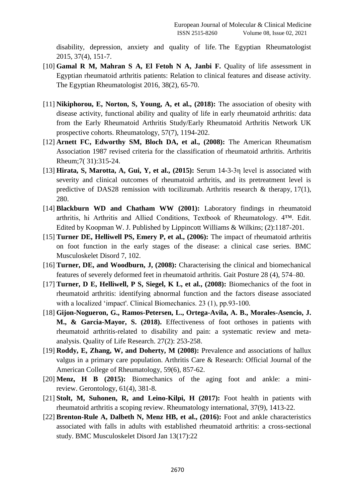disability, depression, anxiety and quality of life. The Egyptian Rheumatologist 2015, 37(4), 151-7.

- [10] **Gamal R M, Mahran S A, El Fetoh N A, Janbi F.** Quality of life assessment in Egyptian rheumatoid arthritis patients: Relation to clinical features and disease activity. The Egyptian Rheumatologist 2016, 38(2), 65-70.
- [11] **Nikiphorou, E, Norton, S, Young, A, et al., (2018):** The association of obesity with disease activity, functional ability and quality of life in early rheumatoid arthritis: data from the Early Rheumatoid Arthritis Study/Early Rheumatoid Arthritis Network UK prospective cohorts. Rheumatology, 57(7), 1194-202.
- [12] **Arnett FC, Edworthy SM, Bloch DA, et al., (2008):** The American Rheumatism Association 1987 revised criteria for the classification of rheumatoid arthritis. Arthritis Rheum;7( 31):315-24.
- [13] **Hirata, S, Marotta, A, Gui, Y, et al., (2015):** Serum 14-3-3η level is associated with severity and clinical outcomes of rheumatoid arthritis, and its pretreatment level is predictive of DAS28 remission with tocilizumab. Arthritis research  $\&$  therapy, 17(1), 280.
- [14] **Blackburn WD and Chatham WW (2001):** Laboratory findings in rheumatoid arthritis, hi Arthritis and Allied Conditions, Textbook of Rheumatology. 4™. Edit. Edited by Koopman W. J. Published by Lippincott Williams & Wilkins; (2):1187-201.
- [15] **Turner DE, Helliwell PS, Emery P, et al., (2006):** The impact of rheumatoid arthritis on foot function in the early stages of the disease: a clinical case series. BMC Musculoskelet Disord 7, 102.
- [16] **Turner, DE, and Woodburn, J, (2008):** Characterising the clinical and biomechanical features of severely deformed feet in rheumatoid arthritis. Gait Posture 28 (4), 574–80.
- [17] **Turner, D E, Helliwell, P S, Siegel, K L, et al., (2008):** Biomechanics of the foot in rheumatoid arthritis: identifying abnormal function and the factors disease associated with a localized 'impact'. Clinical Biomechanics. 23 (1), pp.93-100.
- [18] **Gijon-Nogueron, G., Ramos-Petersen, L., Ortega-Avila, A. B., Morales-Asencio, J. M., & Garcia-Mayor, S. (2018).** Effectiveness of foot orthoses in patients with rheumatoid arthritis-related to disability and pain: a systematic review and metaanalysis. Quality of Life Research. 27(2): 253-258.
- [19] **Roddy, E, Zhang, W, and Doherty, M (2008):** Prevalence and associations of hallux valgus in a primary care population. Arthritis Care & Research: Official Journal of the American College of Rheumatology, 59(6), 857-62.
- [20] **Menz, H B (2015):** Biomechanics of the aging foot and ankle: a minireview. Gerontology, 61(4), 381-8.
- [21] **Stolt, M, Suhonen, R, and Leino-Kilpi, H (2017):** Foot health in patients with rheumatoid arthritis a scoping review. Rheumatology international, 37(9), 1413-22.
- [22] **Brenton-Rule A, Dalbeth N, Menz HB, et al., (2016):** Foot and ankle characteristics associated with falls in adults with established rheumatoid arthritis: a cross-sectional study. BMC Musculoskelet Disord Jan 13(17):22